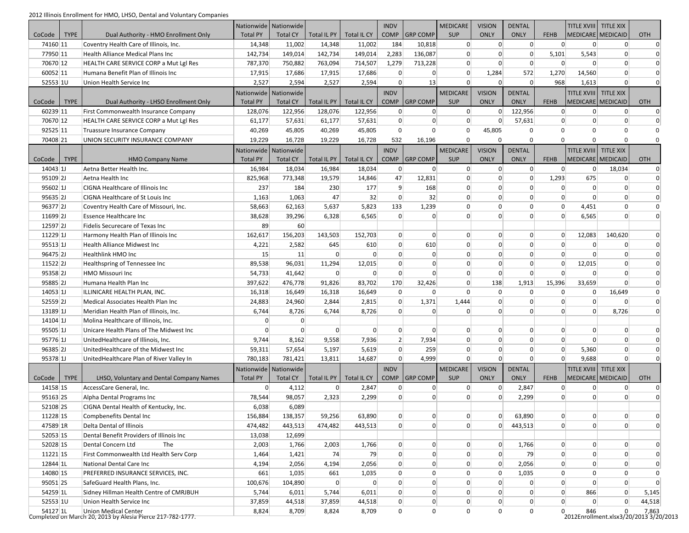2012 Illinois Enrollment for HMO, LHSO, Dental and Voluntary Companies

|                      |             | $512$ minors embinient for finite, ense, bental and voluntary companies                   | Nationwide   Nationwide |                 |                |                         | <b>INDV</b>     |                 | <b>MEDICARE</b> | <b>VISION</b>    | <b>DENTAL</b>     |                | TITLE XVIII TITLE XIX    |                   |                                                 |
|----------------------|-------------|-------------------------------------------------------------------------------------------|-------------------------|-----------------|----------------|-------------------------|-----------------|-----------------|-----------------|------------------|-------------------|----------------|--------------------------|-------------------|-------------------------------------------------|
| CoCode               | <b>TYPE</b> | Dual Authority - HMO Enrollment Only                                                      | <b>Total PY</b>         | <b>Total CY</b> | Total IL PY    | Total IL CY             | <b>COMP</b>     | <b>GRP COMP</b> | <b>SUP</b>      | <b>ONLY</b>      | <b>ONLY</b>       | <b>FEHB</b>    |                          | MEDICARE MEDICAID | <b>OTH</b>                                      |
| 74160 11             |             | Coventry Health Care of Illinois, Inc.                                                    | 14,348                  | 11,002          | 14,348         | 11,002                  | 184             | 10,818          | 0               | 0                | $\overline{0}$    | 0              | 0                        | $\overline{0}$    | $\Omega$                                        |
| 77950 11             |             | Health Alliance Medical Plans Inc                                                         | 142,734                 | 149,014         | 142,734        | 149,014                 | 2,283           | 136,087         | $\overline{0}$  | $\overline{0}$   | $\mathbf 0$       | 5,101          | 5,543                    | $\overline{0}$    | $\mathbf 0$                                     |
| 70670 12             |             | HEALTH CARE SERVICE CORP a Mut Lgl Res                                                    | 787,370                 | 750,882         | 763,094        | 714,507                 | 1,279           | 713,228         | $\overline{0}$  | $\overline{0}$   | $\mathbf 0$       | $\overline{0}$ | $\Omega$                 | $\Omega$          | $\Omega$                                        |
| 60052 11             |             | Humana Benefit Plan of Illinois Inc                                                       | 17,915                  | 17,686          | 17,915         | 17,686                  | $\overline{0}$  | $\overline{0}$  | $\overline{0}$  | 1,284            | 572               | 1,270          | 14,560                   | $\Omega$          | O                                               |
| 52553 1U             |             | Union Health Service Inc                                                                  | 2,527                   | 2,594           | 2,527          | 2,594                   | $\overline{0}$  | 13              | $\Omega$        | $\Omega$         | $\overline{0}$    | 968            | 1,613                    | $\Omega$          | $\Omega$                                        |
|                      |             |                                                                                           | Nationwide Nationwide   |                 |                |                         | <b>INDV</b>     |                 | <b>MEDICARE</b> | <b>VISION</b>    | <b>DENTAL</b>     |                | <b>TITLE XVIII</b>       | <b>TITLE XIX</b>  |                                                 |
| CoCode               | <b>TYPE</b> | Dual Authority - LHSO Enrollment Only                                                     | <b>Total PY</b>         | <b>Total CY</b> | Total IL PY    | Total IL CY             | <b>COMP</b>     | <b>GRP COMP</b> | <b>SUP</b>      | <b>ONLY</b>      | <b>ONLY</b>       | <b>FEHB</b>    |                          | MEDICARE MEDICAID | <b>OTH</b>                                      |
| 60239 11             |             | First Commonwealth Insurance Company                                                      | 128,076                 | 122,956         | 128,076        | 122,956                 | 0               | $\vert 0 \vert$ | 0               | $\overline{0}$   | 122,956           | $\overline{0}$ | 0                        | $\overline{0}$    | $\overline{0}$                                  |
| 70670 12             |             | HEALTH CARE SERVICE CORP a Mut Lgl Res                                                    | 61,177                  | 57,631          | 61,177         | 57,631                  | $\overline{0}$  | $\overline{0}$  | $\overline{0}$  | $\overline{0}$   | 57,631            | $\Omega$       | $\Omega$                 | $\Omega$          | $\Omega$                                        |
| 92525 11             |             | Truassure Insurance Company                                                               | 40,269                  | 45,805          | 40,269         | 45,805                  | $\mathbf 0$     | $\mathbf 0$     | $\mathbf 0$     | 45,805           | $\mathbf 0$       | $\Omega$       | $\Omega$                 | $\Omega$          | $\Omega$                                        |
| 70408 21             |             | UNION SECURITY INSURANCE COMPANY                                                          | 19,229                  | 16,728          | 19,229         | 16,728                  | 532             | 16,196          | $\mathbf 0$     | $\mathbf 0$      | $\Omega$          | $\Omega$       | $\mathbf 0$              | $\Omega$          |                                                 |
|                      |             |                                                                                           | Nationwide   Nationwide |                 |                |                         | <b>INDV</b>     |                 | <b>MEDICARE</b> | <b>VISION</b>    | <b>DENTAL</b>     |                | <b>TITLE XVIII</b>       | <b>TITLE XIX</b>  |                                                 |
| CoCode               | <b>TYPE</b> | <b>HMO Company Name</b>                                                                   | <b>Total PY</b>         | <b>Total CY</b> | Total IL PY    | Total IL CY             | <b>COMP</b>     | <b>GRP COMP</b> | <b>SUP</b>      | <b>ONLY</b>      | <b>ONLY</b>       | <b>FEHB</b>    | <b>MEDICARE MEDICAID</b> |                   | OTH                                             |
| 14043 1              |             | Aetna Better Health Inc.                                                                  | 16,984                  | 18,034          | 16,984         | 18,034                  | 0               | $\vert 0 \vert$ | $\overline{0}$  | 0                | $\overline{0}$    | 0              | 0                        | 18,034            | $\mathbf 0$                                     |
| 95109 <sub>2J</sub>  |             | Aetna Health Inc                                                                          | 825,968                 | 773,348         | 19,579         | 14,846                  | 47              | 12,831          | $\overline{0}$  | $\overline{0}$   | 0                 | 1,293          | 675                      | $\mathbf 0$       | $\Omega$                                        |
| 95602 1              |             | CIGNA Healthcare of Illinois Inc                                                          | 237                     | 184             | 230            | 177                     | $\vert 9 \vert$ | 168             | $\overline{0}$  | $\mathbf 0$      | $\mathbf 0$       | $\overline{0}$ | $\overline{0}$           | $\mathbf 0$       | $\Omega$                                        |
| $95635$ 2J           |             | <b>CIGNA Healthcare of St Louis Inc.</b>                                                  | 1,163                   | 1,063           | 47             | 32                      | $\overline{0}$  | 32              | $\overline{0}$  | $\overline{0}$   | $\overline{0}$    | $\overline{0}$ | $\Omega$                 | $\overline{0}$    | $\mathbf 0$                                     |
| 96377 2J             |             | Coventry Health Care of Missouri, Inc.                                                    | 58,663                  | 62,163          | 5,637          | 5,823                   | 133             | 1,239           | $\mathbf 0$     | $\mathbf 0$      | $\mathbf 0$       | $\mathbf 0$    | 4,451                    | $\Omega$          | $\Omega$                                        |
| 11699 <sup>2J</sup>  |             | Essence Healthcare Inc                                                                    | 38,628                  | 39,296          | 6,328          | 6,565                   | $\overline{0}$  | $\overline{0}$  | $\overline{0}$  | $\overline{0}$   | $\Omega$          | $\Omega$       | 6,565                    | $\overline{0}$    | $\Omega$                                        |
| 12597 <sub>2J</sub>  |             | Fidelis Securecare of Texas Inc                                                           | 89                      | 60              |                |                         |                 |                 |                 |                  |                   |                |                          |                   |                                                 |
| 11229 1J             |             | Harmony Health Plan of Illinois Inc                                                       | 162,617                 | 156,203         | 143,503        | 152,703                 | $\overline{0}$  | $\overline{0}$  | $\overline{0}$  | $\overline{0}$   | $\Omega$          | $\Omega$       | 12,083                   | 140,620           | $\Omega$                                        |
| 95513 1              |             | <b>Health Alliance Midwest Inc.</b>                                                       | 4,221                   | 2,582           | 645            | 610                     | $\overline{0}$  | 610             | $\overline{0}$  | $\overline{0}$   | $\Omega$          | $\Omega$       | $\overline{0}$           | $\Omega$          | $\Omega$                                        |
| 96475 2J             |             | Healthlink HMO Inc                                                                        | 15                      | 11              | $\overline{0}$ | 0                       | $\overline{0}$  | $\overline{0}$  | $\overline{0}$  | $\overline{0}$   | $\Omega$          | $\Omega$       | $\Omega$                 | $\Omega$          | O                                               |
| 11522 2J             |             | Healthspring of Tennessee Inc                                                             | 89,538                  | 96,031          | 11,294         | 12,015                  | $\overline{0}$  | $\overline{0}$  | $\overline{0}$  | $\mathbf 0$      | $\Omega$          | $\overline{0}$ | 12,015                   | $\Omega$          | $\Omega$                                        |
| 95358 <sub>2J</sub>  |             | HMO Missouri Inc                                                                          | 54,733                  | 41,642          | 0              | $\overline{0}$          | $\overline{0}$  | $\overline{0}$  | $\overline{0}$  | $\overline{0}$   | $\overline{0}$    | $\overline{0}$ | 0                        | $\overline{0}$    | $\Omega$                                        |
| 95885 2J             |             | Humana Health Plan Inc                                                                    | 397,622                 | 476,778         | 91,826         | 83,702                  | 170             | 32,426          | $\overline{0}$  | 138              | 1,913             | 15,396         | 33,659                   | $\Omega$          | $\Omega$                                        |
| 14053 1              |             | ILLINICARE HEALTH PLAN, INC.                                                              | 16,318                  | 16,649          | 16,318         | 16,649                  | $\mathbf 0$     | 0               | 0               | $\mathbf 0$      | $\mathbf 0$       | $\Omega$       | 0                        | 16,649            | $\Omega$                                        |
| 52559 <sub>2J</sub>  |             | Medical Associates Health Plan Inc                                                        | 24,883                  | 24,960          | 2,844          | 2,815                   | $\overline{0}$  | 1,371           | 1,444           | $\overline{0}$   | $\Omega$          | $\Omega$       | $\Omega$                 | $\Omega$          | $\Omega$                                        |
| 13189 1J             |             | Meridian Health Plan of Illinois, Inc.                                                    | 6,744                   | 8,726           | 6,744          | 8,726                   | $\overline{0}$  | $\overline{0}$  | $\Omega$        | $\overline{0}$   | $\Omega$          | $\Omega$       | $\Omega$                 | 8,726             | $\Omega$                                        |
| $14104$ 1J           |             | Molina Healthcare of Illinois, Inc.                                                       | $\Omega$                | $\mathbf 0$     |                |                         |                 |                 |                 |                  |                   |                |                          |                   |                                                 |
| 95505 1              |             | Unicare Health Plans of The Midwest Inc                                                   | $\overline{0}$          | $\overline{0}$  | $\overline{0}$ | $\overline{0}$          | 0               | $\overline{0}$  | $\overline{0}$  | $\overline{0}$   | $\overline{0}$    | $\overline{0}$ | $\overline{0}$           | $\Omega$          | $\Omega$                                        |
| 95776 1J             |             | UnitedHealthcare of Illinois, Inc.                                                        | 9,744                   | 8,162           | 9,558          | 7,936                   | $\overline{2}$  | 7,934           | $\overline{0}$  | $\overline{0}$   | $\Omega$          | $\Omega$       | $\Omega$                 | $\Omega$          | $\Omega$                                        |
| 96385 2J             |             | UnitedHealthcare of the Midwest Inc                                                       | 59,311                  | 57,654          | 5,197          | 5,619                   | $\overline{0}$  | 259             | $\overline{0}$  | $\overline{0}$   | $\Omega$          | $\Omega$       | 5,360                    | $\Omega$          | $\Omega$                                        |
| 95378 1J             |             | UnitedHealthcare Plan of River Valley In                                                  | 780,183                 | 781,421         | 13,811         | 14,687                  | $\overline{0}$  | 4,999           | $\Omega$        | 0                | <sup>0</sup>      | $\Omega$       | 9,688                    | $\Omega$          | O                                               |
|                      |             |                                                                                           | Nationwide   Nationwide |                 |                |                         | <b>INDV</b>     |                 | <b>MEDICARE</b> | <b>VISION</b>    | <b>DENTAL</b>     |                | <b>TITLE XVIII</b>       | <b>TITLE XIX</b>  |                                                 |
| CoCode               | <b>TYPE</b> | LHSO, Voluntary and Dental Company Names                                                  | <b>Total PY</b>         | <b>Total CY</b> | Total IL PY    | Total IL CY             | <b>COMP</b>     | <b>GRP COMP</b> | <b>SUP</b>      | <b>ONLY</b>      | <b>ONLY</b>       | <b>FEHB</b>    |                          | MEDICARE MEDICAID | OTH                                             |
| 14158 1S             |             | AccessCare General, Inc.                                                                  | $\overline{0}$          | 4,112           | 0              | 2,847                   | 0               | $\vert 0 \vert$ | 0               | 0                | 2,847             | $\overline{0}$ | $\overline{0}$           | $\overline{0}$    | $\Omega$                                        |
| 95163 2S             |             | Alpha Dental Programs Inc                                                                 | 78,544                  | 98,057          | 2,323          | 2,299                   | $\overline{0}$  | $\overline{0}$  | $\Omega$        | $\overline{0}$   | 2,299             | $\Omega$       | $\Omega$                 | $\Omega$          | $\Omega$                                        |
| 52108 2S             |             | CIGNA Dental Health of Kentucky, Inc.                                                     | 6,038                   | 6,089           |                |                         |                 |                 |                 |                  |                   |                |                          |                   |                                                 |
| 11228 1S             |             | Compbenefits Dental Inc                                                                   | 156,884                 | 138,357         | 59,256         | 63,890                  | $\overline{0}$  | $\overline{0}$  | $\overline{0}$  | $\vert 0 \vert$  | 63,890            | $\overline{0}$ | $\Omega$                 | $\Omega$          | $\Omega$                                        |
| 47589 1R             |             | Delta Dental of Illinois                                                                  | 474,482                 | 443,513         | 474,482        | 443,513                 | $\overline{0}$  | $\overline{0}$  | $\overline{0}$  | $\overline{0}$   | 443,513           | $\overline{0}$ | $\Omega$                 | $\Omega$          | O                                               |
| $52053$ 1S           |             | Dental Benefit Providers of Illinois Inc                                                  | 13,038                  | 12,699          |                |                         |                 |                 |                 |                  |                   |                |                          |                   |                                                 |
| 52028 1S             |             | Dental Concern Ltd<br>The                                                                 | 2,003                   | 1,766           | 2,003          | 1,766                   | 0               | $\overline{0}$  | 0               | 0                | 1,766             | $\overline{0}$ | $\Omega$                 | $\overline{0}$    | $\Omega$                                        |
| 11221 1S             |             | First Commonwealth Ltd Health Serv Corp                                                   | 1,464                   | 1,421           | 74             | 79                      | $\pmb{0}$       | $\overline{0}$  | 0               | $\overline{0}$   | 79                | $\overline{0}$ | $\Omega$                 | $\Omega$          | $\Omega$                                        |
| 12844 1L             |             | National Dental Care Inc                                                                  | 4,194                   | 2,056           | 4,194          | 2,056                   | $\overline{0}$  | $\overline{0}$  | $\overline{0}$  | $\overline{0}$   | 2,056             | $\overline{0}$ | $\overline{0}$           | $\overline{0}$    | $\mathbf 0$                                     |
| 14080 1S             |             |                                                                                           |                         |                 |                |                         | $\mathbf 0$     | 0               | 0               | $\mathbf 0$      |                   | $\Omega$       | 0                        | $\Omega$          | $\Omega$                                        |
|                      |             | PREFERRED INSURANCE SERVICES, INC.                                                        | 661                     | 1,035           | 661            | 1,035<br>$\overline{0}$ | $\overline{0}$  | $\overline{0}$  | $\overline{0}$  | $\boldsymbol{0}$ | 1,035<br>$\Omega$ | $\overline{0}$ | $\overline{0}$           | $\overline{0}$    | $\Omega$                                        |
| 95051 2S             |             | SafeGuard Health Plans, Inc.                                                              | 100,676                 | 104,890         | 0              |                         | $\overline{0}$  | $\overline{0}$  | $\overline{0}$  | $\overline{0}$   |                   | $\overline{0}$ | 866                      | $\overline{0}$    |                                                 |
| 54259 1L             |             | Sidney Hillman Health Centre of CMRJBUH                                                   | 5,744                   | 6,011           | 5,744          | 6,011                   |                 |                 |                 | $\mathbf 0$      | $\overline{0}$    | $\overline{0}$ |                          | $\mathbf 0$       | 5,145                                           |
| 52553 1U<br>54127 1L |             | Union Health Service Inc                                                                  | 37,859                  | 44,518          | 37,859         | 44,518                  | $\overline{0}$  | $\vert 0 \vert$ | $\overline{0}$  |                  | $\mathbf 0$       | $\mathbf 0$    | 0                        | $\Omega$          | 44,518                                          |
|                      |             | <b>Union Medical Center</b><br>Completed on March 20, 2013 by Alesia Pierce 217-782-1777. | 8,824                   | 8,709           | 8,824          | 8,709                   | $\mathbf 0$     | 0               | $\mathbf 0$     | 0                | 0                 |                | 846                      |                   | 7,863<br>2012Enrollment.xlsx3/20/2013 3/20/2013 |